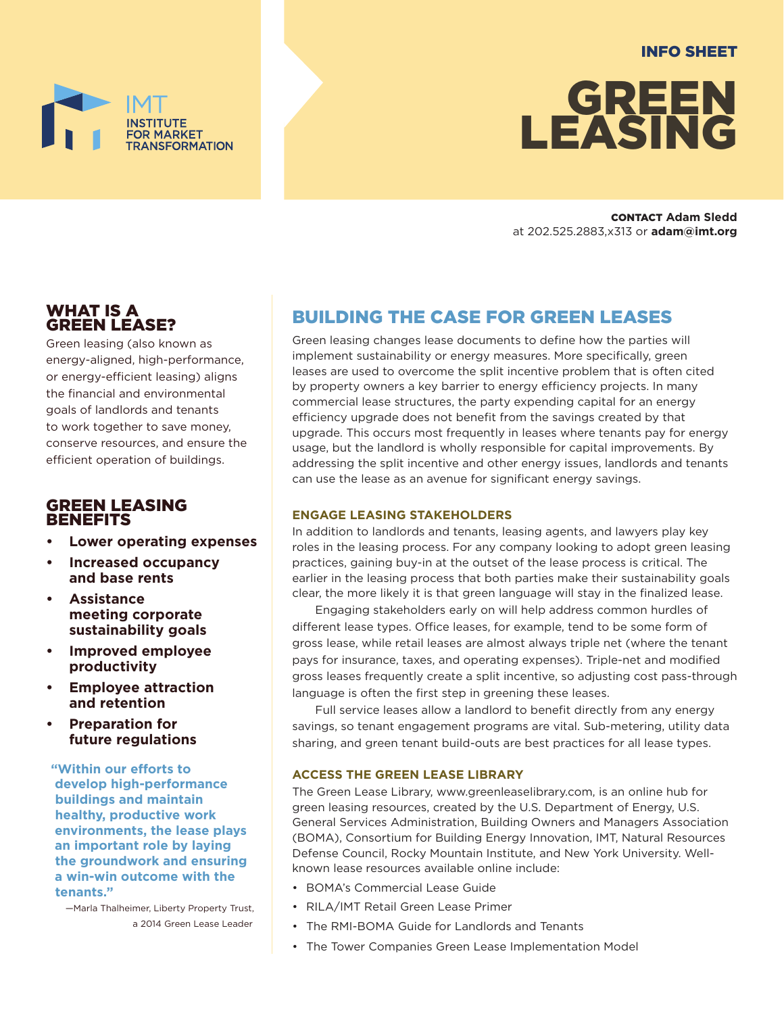### INFO SHEET



CONTACT **Adam Sledd** at 202.525.2883,x313 or **adam@imt.org**

### WHAT IS A GREEN LEASE?

Green leasing (also known as energy-aligned, high-performance, or energy-efficient leasing) aligns the financial and environmental goals of landlords and tenants to work together to save money, conserve resources, and ensure the efficient operation of buildings.

FOR MARKET

**ISFORMATION** 

### GREEN LEASING **BENEFITS**

- **• Lower operating expenses**
- **• Increased occupancy and base rents**
- **• Assistance meeting corporate sustainability goals**
- **• Improved employee productivity**
- **• Employee attraction and retention**
- **• Preparation for future regulations**

**"Within our efforts to develop high-performance buildings and maintain healthy, productive work environments, the lease plays an important role by laying the groundwork and ensuring a win-win outcome with the tenants."**

—Marla Thalheimer, Liberty Property Trust, a 2014 Green Lease Leader

## BUILDING THE CASE FOR GREEN LEASES

Green leasing changes lease documents to define how the parties will implement sustainability or energy measures. More specifically, green leases are used to overcome the split incentive problem that is often cited by property owners a key barrier to energy efficiency projects. In many commercial lease structures, the party expending capital for an energy efficiency upgrade does not benefit from the savings created by that upgrade. This occurs most frequently in leases where tenants pay for energy usage, but the landlord is wholly responsible for capital improvements. By addressing the split incentive and other energy issues, landlords and tenants can use the lease as an avenue for significant energy savings.

### **ENGAGE LEASING STAKEHOLDERS**

In addition to landlords and tenants, leasing agents, and lawyers play key roles in the leasing process. For any company looking to adopt green leasing practices, gaining buy-in at the outset of the lease process is critical. The earlier in the leasing process that both parties make their sustainability goals clear, the more likely it is that green language will stay in the finalized lease.

Engaging stakeholders early on will help address common hurdles of different lease types. Office leases, for example, tend to be some form of gross lease, while retail leases are almost always triple net (where the tenant pays for insurance, taxes, and operating expenses). Triple-net and modified gross leases frequently create a split incentive, so adjusting cost pass-through language is often the first step in greening these leases.

Full service leases allow a landlord to benefit directly from any energy savings, so tenant engagement programs are vital. Sub-metering, utility data sharing, and green tenant build-outs are best practices for all lease types.

### **ACCESS THE GREEN LEASE LIBRARY**

The Green Lease Library, [www.greenleaselibrary.com,](http://www.greenleaselibrary.com) is an online hub for green leasing resources, created by the U.S. Department of Energy, U.S. General Services Administration, Building Owners and Managers Association (BOMA), Consortium for Building Energy Innovation, IMT, Natural Resources Defense Council, Rocky Mountain Institute, and New York University. Wellknown lease resources available online include:

- [BOMA's Commercial Lease Guide](http://store.boma.org/products/commercial-lease-guide-to-sustainable-and-energy-efficent-leasing-for-high-performance-buildings)
- [RILA/IMT Retail Green Lease Primer](http://www.imt.org/resources/detail/retail-green-lease-primer)
- [The RMI-BOMA Guide for Landlords and Tenants](http://www.rmi.org/Knowledge-Center/Library/2012-05_GuideForLandlordsTenants)
- [The Tower Companies Green Lease Implementation Model]( http://www4.eere.energy.gov/challenge/implementation-model/The-Tower-Companies)